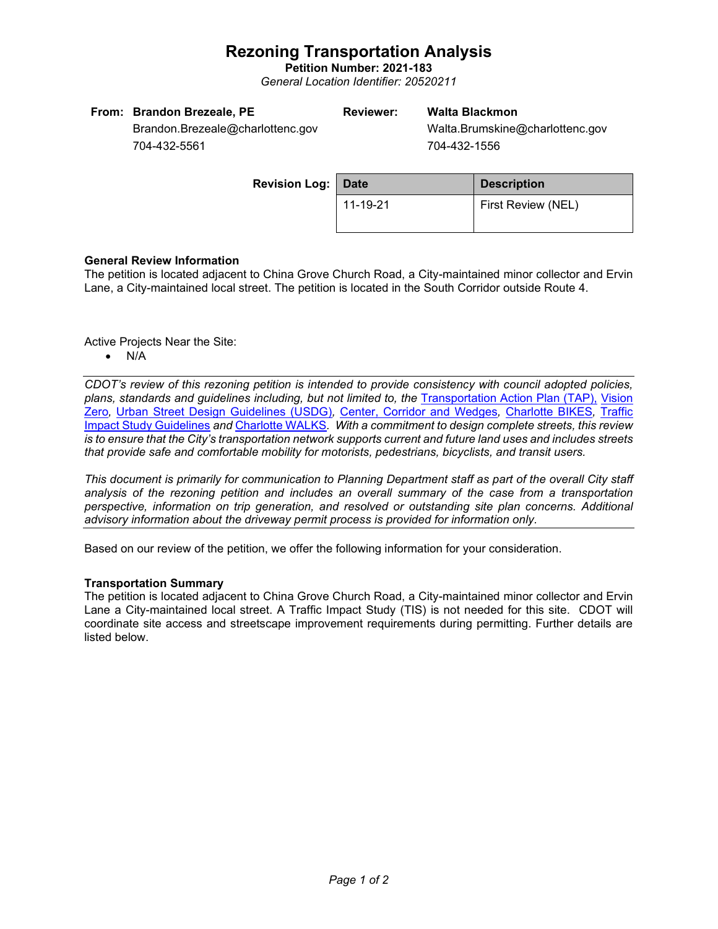## **Rezoning Transportation Analysis**

**Petition Number: 2021-183** *General Location Identifier: 20520211*

| From: Brandon Brezeale, PE       | <b>Reviewer:</b> | Walta Blackmon                  |
|----------------------------------|------------------|---------------------------------|
| Brandon.Brezeale@charlottenc.gov |                  | Walta.Brumskine@charlottenc.gov |
| 704-432-5561                     |                  | 704-432-1556                    |

| <b>Revision Log:   Date</b> |          | <b>Description</b> |  |
|-----------------------------|----------|--------------------|--|
|                             | 11-19-21 | First Review (NEL) |  |

### **General Review Information**

The petition is located adjacent to China Grove Church Road, a City-maintained minor collector and Ervin Lane, a City-maintained local street. The petition is located in the South Corridor outside Route 4.

Active Projects Near the Site:

• N/A

*CDOT's review of this rezoning petition is intended to provide consistency with council adopted policies, plans, standards and guidelines including, but not limited to, the* [Transportation Action Plan \(TAP\),](https://charlottenc.gov/Transportation/Programs/Pages/TransportationActionPlan.aspx) [Vision](https://charlottenc.gov/VisionZero/Pages/VisionZero.aspx)  [Zero](https://charlottenc.gov/VisionZero/Pages/VisionZero.aspx)*,* [Urban Street Design Guidelines \(USDG\)](https://charlottenc.gov/Transportation/PlansProjects/Documents/USDG%20Full%20Document.pdf)*,* [Center, Corridor and](http://ww.charmeck.org/Planning/Land%20Use%20Planning/CentersCorridorsWedges/CentersCorridorsWedges(Adopted).pdf) Wedges*,* [Charlotte BIKES](https://charlottenc.gov/Transportation/Programs/Pages/Bicycle.aspx)*,* [Traffic](https://charlottenc.gov/Transportation/Permits/Documents/TISProcessandGuildlines.pdf)  [Impact Study Guidelines](https://charlottenc.gov/Transportation/Permits/Documents/TISProcessandGuildlines.pdf) *and* [Charlotte WALKS](https://charlottenc.gov/Transportation/Programs/Pages/CharlotteWalks.aspx)*. With a commitment to design complete streets, this review is to ensure that the City's transportation network supports current and future land uses and includes streets that provide safe and comfortable mobility for motorists, pedestrians, bicyclists, and transit users.*

*This document is primarily for communication to Planning Department staff as part of the overall City staff analysis of the rezoning petition and includes an overall summary of the case from a transportation perspective, information on trip generation, and resolved or outstanding site plan concerns. Additional advisory information about the driveway permit process is provided for information only.*

Based on our review of the petition, we offer the following information for your consideration.

#### **Transportation Summary**

The petition is located adjacent to China Grove Church Road, a City-maintained minor collector and Ervin Lane a City-maintained local street. A Traffic Impact Study (TIS) is not needed for this site. CDOT will coordinate site access and streetscape improvement requirements during permitting. Further details are listed below.